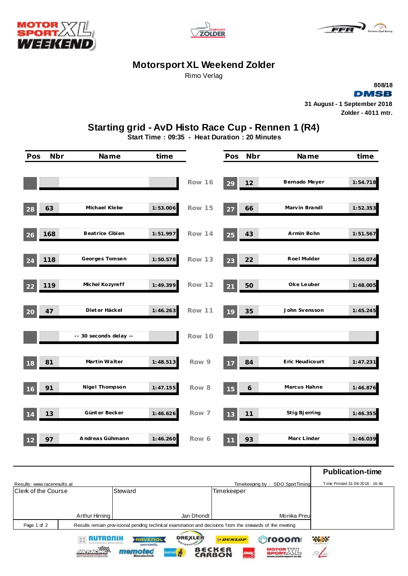





## **Motorsport XL Weekend Zolder**

Rimo Verlag



## **Starting grid - AvD Histo Race Cup - Rennen 1 (R4)**

**Start Time : 09:35 - Heat Duration : 20 Minutes**

| Pos | <b>Nbr</b> | Name                   | time     |               | Pos | Nbr                   | Name            | time     |
|-----|------------|------------------------|----------|---------------|-----|-----------------------|-----------------|----------|
|     |            |                        |          | Row 16        | 29  | 12                    | Bernado Meyer   | 1:54.718 |
| 28  | 63         | Michael Klebe          | 1:53.006 | Row 15        | 27  | 66                    | Marvin Brandl   | 1:52.353 |
| 26  | 168        | Beatrice Cibien        | 1:51.997 | <b>Row 14</b> | 25  | 43                    | Armin Bohn      | 1:51.567 |
| 24  | 118        | Georges Tomsen         | 1:50.578 | Row 13        | 23  | 22                    | Roel Mulder     | 1:50.074 |
| 22  | 119        | Michel Kozyreff        | 1:49.399 | Row 12        | 21  | 50                    | Oke Leuber      | 1:48.005 |
| 20  | 47         | Diet er Häckel         | 1:46.263 | Row 11        | 19  | 35                    | John Svensson   | 1:45.245 |
|     |            | -- 30 seconds delay -- |          | Row 10        |     |                       |                 |          |
| 18  | 81         | Martin Walter          | 1:48.513 | Row 9         | 17  | 84                    | Eric Heudicourt | 1:47.231 |
| 16  | 91         | Nigel Thompson         | 1:47.155 | Row 8         | 15  | $\boldsymbol{\delta}$ | Marcus Hahne    | 1:46.876 |
| 14  | 13         | Günt er Becker         | 1:46.626 | Row 7         | 13  | $11$                  | Stig Bjerring   | 1:46.355 |
| 12  | 97         | Andreas Gühmann        | 1:46.260 | Row 6         | 11  | 93                    | Marc Linder     | 1:46.039 |

|                             |                                                                                                         |                                                                      |                                |                  | <b>Publication-time</b> |
|-----------------------------|---------------------------------------------------------------------------------------------------------|----------------------------------------------------------------------|--------------------------------|------------------|-------------------------|
| Results: www.raceresults.at | Time Printed 31-08-2018 - 16:46<br>Timekeeping by: SDO SportTiming                                      |                                                                      |                                |                  |                         |
| Clerk of the Course         |                                                                                                         | Steward                                                              | Timekeeper                     |                  |                         |
|                             |                                                                                                         |                                                                      |                                |                  |                         |
|                             | Arthur Hirning                                                                                          | Jan Dhondt                                                           |                                | Monika Preu      |                         |
| Page 1 of 2                 | Results remain provisional pending technical examination and decisions from the stewards of the meeting |                                                                      |                                |                  |                         |
|                             | RUTRONIK                                                                                                | <b>DREXLER</b><br><b>RAVENOL</b><br><b>OFORSPT</b><br><b>MOTOROL</b> | <b>ODUNLOP</b>                 | <b>Orooom</b>    | <b>Philips</b>          |
|                             | <b>NONE TANK</b><br>MOTORSPORTZUBEHOR                                                                   | <b>nofac</b><br>÷<br><b>EILSTEIN</b><br>Messtechnik                  | B€CK∈R<br><b>DMI</b><br>CARBON | <b>MOTOR</b> X/L |                         |